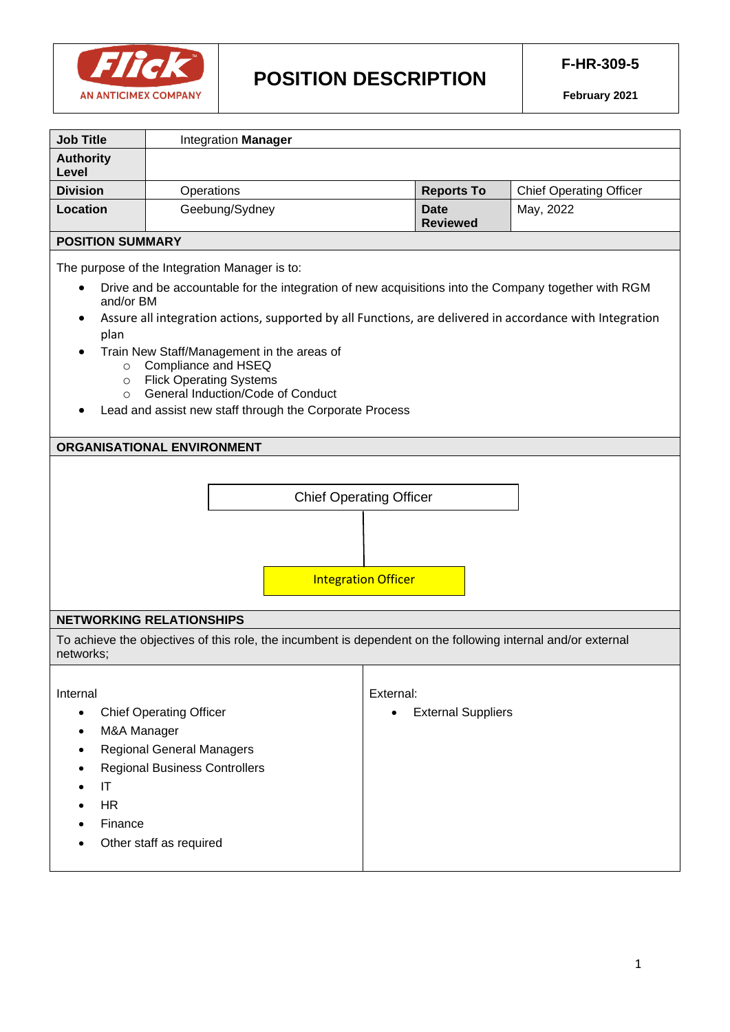

# **POSITION DESCRIPTION**

| <b>Job Title</b>                                                                                                                                                                                                                                                                                                                                                                                                                                                                                                                                                                              | Integration Manager                                                                                                                   |                                        |                                |  |
|-----------------------------------------------------------------------------------------------------------------------------------------------------------------------------------------------------------------------------------------------------------------------------------------------------------------------------------------------------------------------------------------------------------------------------------------------------------------------------------------------------------------------------------------------------------------------------------------------|---------------------------------------------------------------------------------------------------------------------------------------|----------------------------------------|--------------------------------|--|
| <b>Authority</b>                                                                                                                                                                                                                                                                                                                                                                                                                                                                                                                                                                              |                                                                                                                                       |                                        |                                |  |
| Level                                                                                                                                                                                                                                                                                                                                                                                                                                                                                                                                                                                         |                                                                                                                                       |                                        |                                |  |
| <b>Division</b>                                                                                                                                                                                                                                                                                                                                                                                                                                                                                                                                                                               | Operations                                                                                                                            | <b>Reports To</b>                      | <b>Chief Operating Officer</b> |  |
| <b>Location</b>                                                                                                                                                                                                                                                                                                                                                                                                                                                                                                                                                                               | Geebung/Sydney                                                                                                                        | <b>Date</b><br><b>Reviewed</b>         | May, 2022                      |  |
| <b>POSITION SUMMARY</b>                                                                                                                                                                                                                                                                                                                                                                                                                                                                                                                                                                       |                                                                                                                                       |                                        |                                |  |
| The purpose of the Integration Manager is to:<br>Drive and be accountable for the integration of new acquisitions into the Company together with RGM<br>and/or BM<br>Assure all integration actions, supported by all Functions, are delivered in accordance with Integration<br>plan<br>Train New Staff/Management in the areas of<br>Compliance and HSEQ<br>$\circ$<br><b>Flick Operating Systems</b><br>$\circ$<br>General Induction/Code of Conduct<br>$\circ$<br>Lead and assist new staff through the Corporate Process<br>ORGANISATIONAL ENVIRONMENT<br><b>Chief Operating Officer</b> |                                                                                                                                       |                                        |                                |  |
| <b>Integration Officer</b>                                                                                                                                                                                                                                                                                                                                                                                                                                                                                                                                                                    |                                                                                                                                       |                                        |                                |  |
| <b>NETWORKING RELATIONSHIPS</b>                                                                                                                                                                                                                                                                                                                                                                                                                                                                                                                                                               |                                                                                                                                       |                                        |                                |  |
| To achieve the objectives of this role, the incumbent is dependent on the following internal and/or external<br>networks;                                                                                                                                                                                                                                                                                                                                                                                                                                                                     |                                                                                                                                       |                                        |                                |  |
| Internal<br>M&A Manager<br>IT<br><b>HR</b><br>Finance                                                                                                                                                                                                                                                                                                                                                                                                                                                                                                                                         | <b>Chief Operating Officer</b><br><b>Regional General Managers</b><br><b>Regional Business Controllers</b><br>Other staff as required | External:<br><b>External Suppliers</b> |                                |  |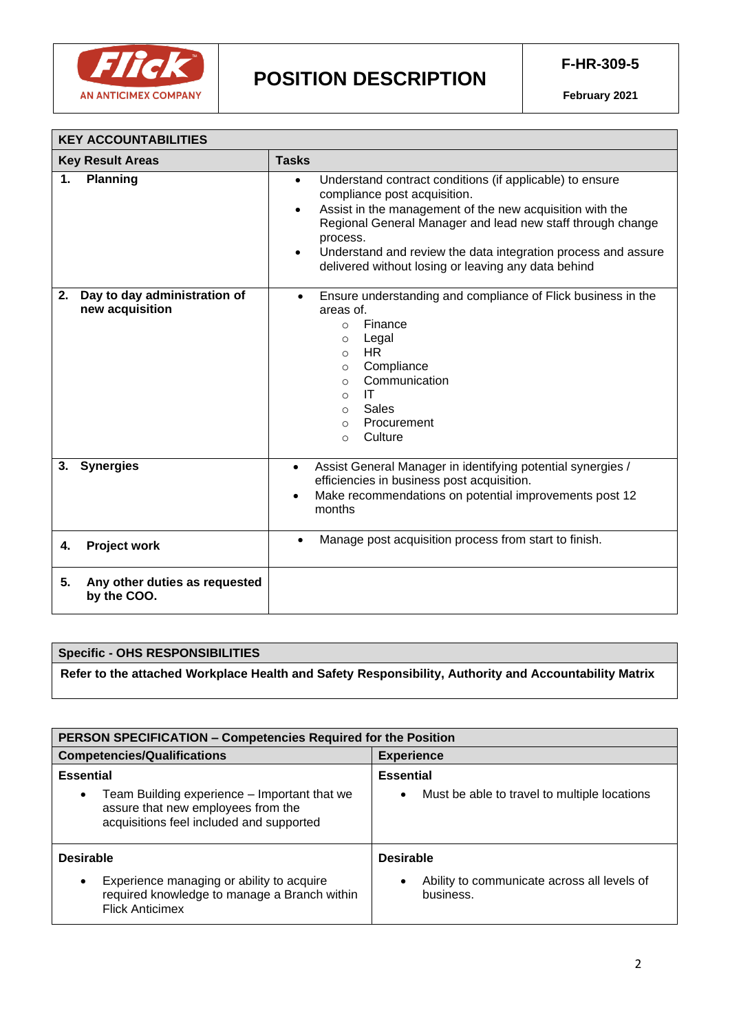

| <b>KEY ACCOUNTABILITIES</b>                        |                                                                                                                                                                                                                                                                                                                                                                                               |  |  |
|----------------------------------------------------|-----------------------------------------------------------------------------------------------------------------------------------------------------------------------------------------------------------------------------------------------------------------------------------------------------------------------------------------------------------------------------------------------|--|--|
| <b>Key Result Areas</b>                            | <b>Tasks</b>                                                                                                                                                                                                                                                                                                                                                                                  |  |  |
| <b>Planning</b><br>1.                              | Understand contract conditions (if applicable) to ensure<br>$\bullet$<br>compliance post acquisition.<br>Assist in the management of the new acquisition with the<br>$\bullet$<br>Regional General Manager and lead new staff through change<br>process.<br>Understand and review the data integration process and assure<br>$\bullet$<br>delivered without losing or leaving any data behind |  |  |
| 2. Day to day administration of<br>new acquisition | Ensure understanding and compliance of Flick business in the<br>$\bullet$<br>areas of.<br>Finance<br>$\circ$<br>Legal<br>$\circ$<br><b>HR</b><br>$\circ$<br>Compliance<br>$\circ$<br>Communication<br>$\circ$<br>IT<br>$\circ$<br>Sales<br>$\circ$<br>Procurement<br>$\Omega$<br>Culture<br>$\circ$                                                                                           |  |  |
| <b>Synergies</b><br>3.                             | Assist General Manager in identifying potential synergies /<br>$\bullet$<br>efficiencies in business post acquisition.<br>Make recommendations on potential improvements post 12<br>$\bullet$<br>months                                                                                                                                                                                       |  |  |
| <b>Project work</b><br>4.                          | Manage post acquisition process from start to finish.<br>$\bullet$                                                                                                                                                                                                                                                                                                                            |  |  |
| Any other duties as requested<br>5.<br>by the COO. |                                                                                                                                                                                                                                                                                                                                                                                               |  |  |

# **Specific - OHS RESPONSIBILITIES**

**Refer to the attached Workplace Health and Safety Responsibility, Authority and Accountability Matrix** 

| <b>PERSON SPECIFICATION - Competencies Required for the Position</b>                                                                        |                                                           |  |  |
|---------------------------------------------------------------------------------------------------------------------------------------------|-----------------------------------------------------------|--|--|
| <b>Competencies/Qualifications</b>                                                                                                          | <b>Experience</b>                                         |  |  |
| <b>Essential</b>                                                                                                                            | <b>Essential</b>                                          |  |  |
| Team Building experience – Important that we<br>$\bullet$<br>assure that new employees from the<br>acquisitions feel included and supported | Must be able to travel to multiple locations<br>$\bullet$ |  |  |
| <b>Desirable</b>                                                                                                                            | <b>Desirable</b>                                          |  |  |
| Experience managing or ability to acquire<br>$\bullet$<br>required knowledge to manage a Branch within<br><b>Flick Anticimex</b>            | Ability to communicate across all levels of<br>business.  |  |  |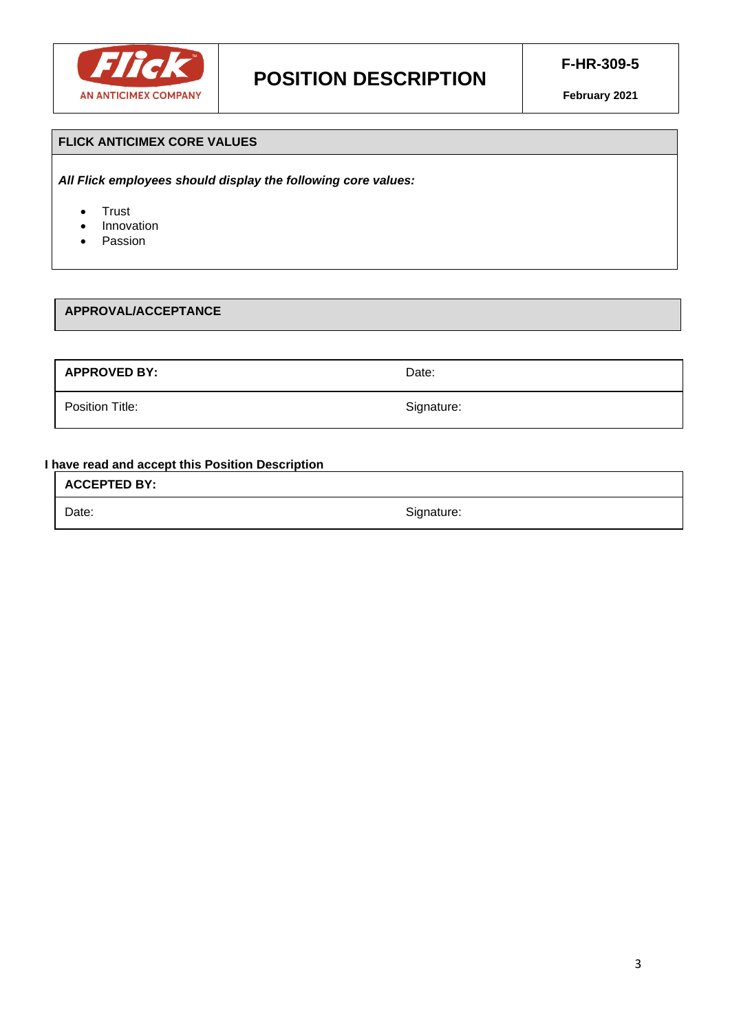

### **FLICK ANTICIMEX CORE VALUES**

*All Flick employees should display the following core values:*

- Trust
- **Innovation**
- Passion

#### **APPROVAL/ACCEPTANCE**

**APPROVED BY:** Date:

Position Title: Signature: Signature: Signature: Signature: Signature: Signature: Signature: Signature: Signature: Signature: Signature: Signature: Signature: Signature: Signature: Signature: Signature: Signature: Signatur

**I have read and accept this Position Description**

**ACCEPTED BY:** 

Date: Signature: Signature: Signature: Signature: Signature: Signature: Signature: Signature: Signature: Signature: Signature: Signature: Signature: Signature: Signature: Signature: Signature: Signature: Signature: Signatu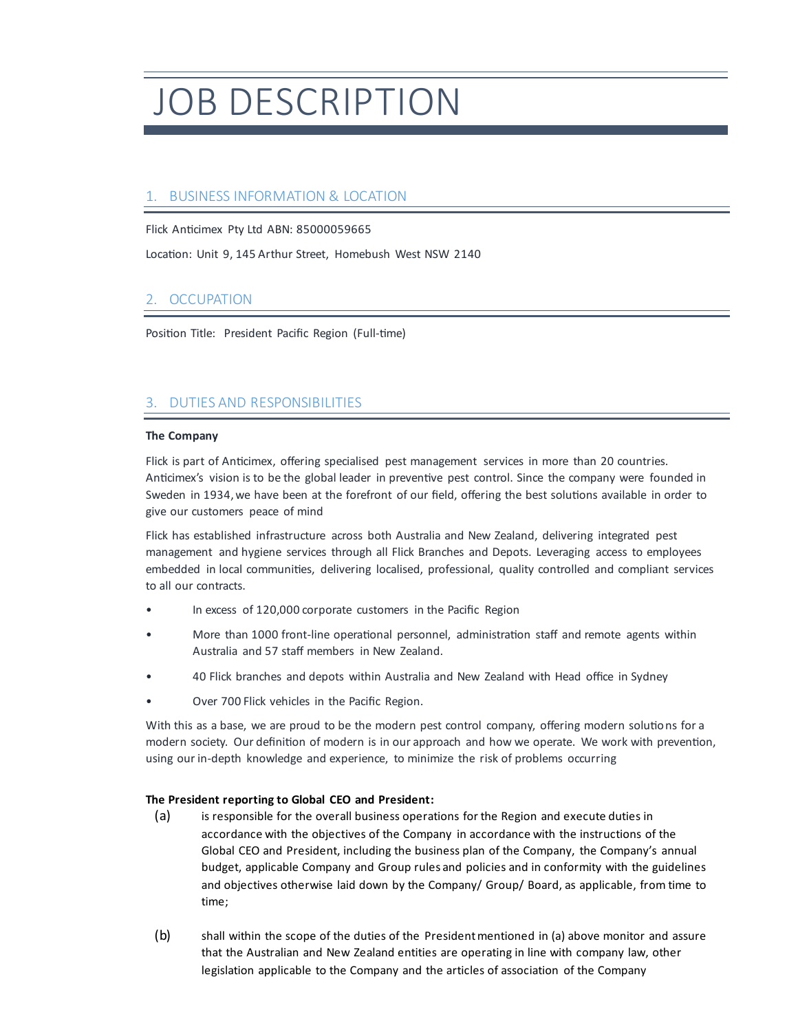# JOB DESCRIPTION

# 1. BUSINESS INFORMATION & LOCATION

Flick Anticimex Pty Ltd ABN: 85000059665

Location: Unit 9, 145 Arthur Street, Homebush West NSW 2140

# 2. OCCUPATION

Position Title: President Pacific Region (Full-time)

#### 3. DUTIES AND RESPONSIBILITIES

#### **The Company**

Flick is part of Anticimex, offering specialised pest management services in more than 20 countries. Anticimex's vision is to be the global leader in preventive pest control. Since the company were founded in Sweden in 1934, we have been at the forefront of our field, offering the best solutions available in order to give our customers peace of mind

Flick has established infrastructure across both Australia and New Zealand, delivering integrated pest management and hygiene services through all Flick Branches and Depots. Leveraging access to employees embedded in local communities, delivering localised, professional, quality controlled and compliant services to all our contracts.

- In excess of 120,000 corporate customers in the Pacific Region
- More than 1000 front-line operational personnel, administration staff and remote agents within Australia and 57 staff members in New Zealand.
- 40 Flick branches and depots within Australia and New Zealand with Head office in Sydney
- Over 700 Flick vehicles in the Pacific Region.

With this as a base, we are proud to be the modern pest control company, offering modern solutions for a modern society. Our definition of modern is in our approach and how we operate. We work with prevention, using our in-depth knowledge and experience, to minimize the risk of problems occurring

#### **The President reporting to Global CEO and President:**

- (a) is responsible for the overall business operations for the Region and execute duties in accordance with the objectives of the Company in accordance with the instructions of the Global CEO and President, including the business plan of the Company, the Company's annual budget, applicable Company and Group rules and policies and in conformity with the guidelines and objectives otherwise laid down by the Company/ Group/ Board, as applicable, from time to time;
- (b) shall within the scope of the duties of the President mentioned in (a) above monitor and assure that the Australian and New Zealand entities are operating in line with company law, other legislation applicable to the Company and the articles of association of the Company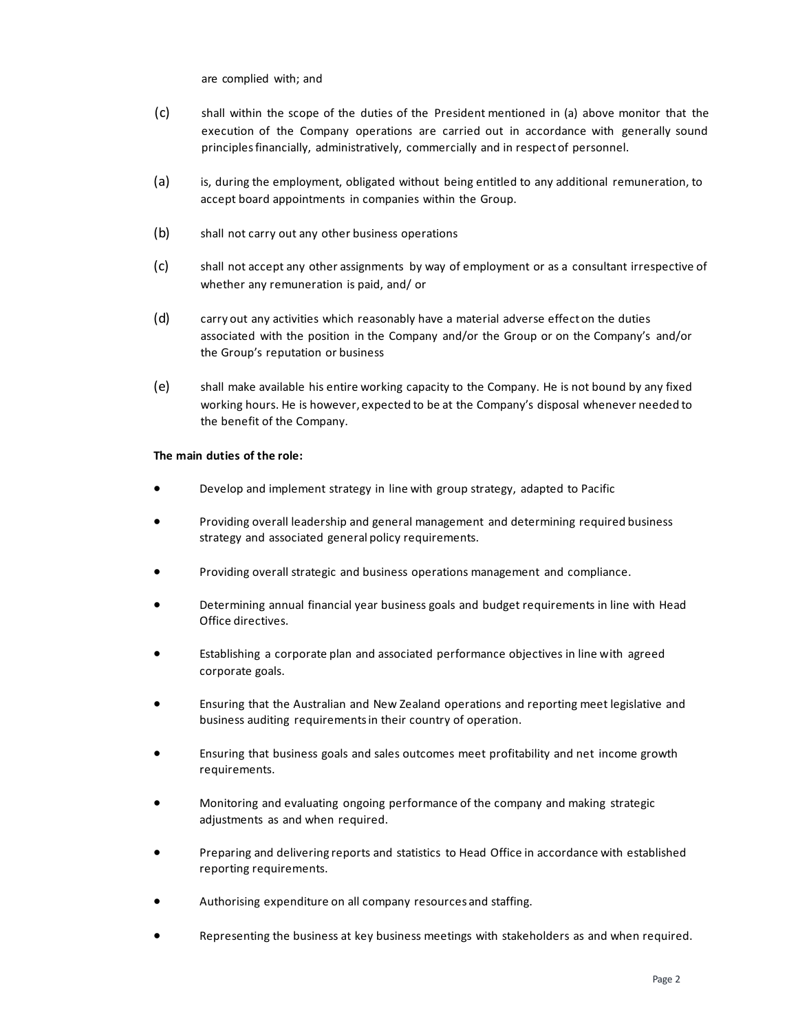are complied with; and

- (c) shall within the scope of the duties of the President mentioned in (a) above monitor that the execution of the Company operations are carried out in accordance with generally sound principles financially, administratively, commercially and in respect of personnel.
- (a) is, during the employment, obligated without being entitled to any additional remuneration, to accept board appointments in companies within the Group.
- (b) shall not carry out any other business operations
- (c) shall not accept any other assignments by way of employment or as a consultant irrespective of whether any remuneration is paid, and/ or
- (d) carry out any activities which reasonably have a material adverse effect on the duties associated with the position in the Company and/or the Group or on the Company's and/or the Group's reputation or business
- (e) shall make available his entire working capacity to the Company. He is not bound by any fixed working hours. He is however, expected to be at the Company's disposal whenever needed to the benefit of the Company.

#### **The main duties of the role:**

- Develop and implement strategy in line with group strategy, adapted to Pacific
- Providing overall leadership and general management and determining required business strategy and associated general policy requirements.
- Providing overall strategic and business operations management and compliance.
- Determining annual financial year business goals and budget requirements in line with Head Office directives.
- Establishing a corporate plan and associated performance objectives in line with agreed corporate goals.
- Ensuring that the Australian and New Zealand operations and reporting meet legislative and business auditing requirements in their country of operation.
- Ensuring that business goals and sales outcomes meet profitability and net income growth requirements.
- Monitoring and evaluating ongoing performance of the company and making strategic adjustments as and when required.
- Preparing and delivering reports and statistics to Head Office in accordance with established reporting requirements.
- Authorising expenditure on all company resources and staffing.
- Representing the business at key business meetings with stakeholders as and when required.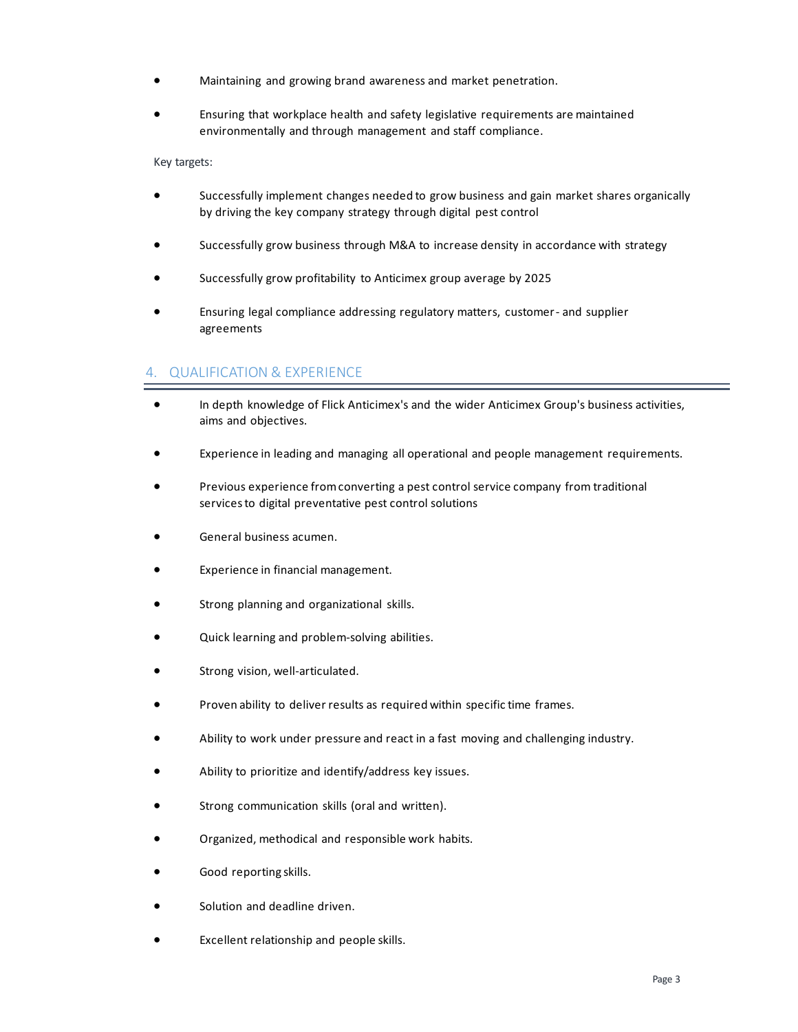- Maintaining and growing brand awareness and market penetration.
- Ensuring that workplace health and safety legislative requirements are maintained environmentally and through management and staff compliance.

Key targets:

- Successfully implement changes needed to grow business and gain market shares organically by driving the key company strategy through digital pest control
- Successfully grow business through M&A to increase density in accordance with strategy
- Successfully grow profitability to Anticimex group average by 2025
- Ensuring legal compliance addressing regulatory matters, customer- and supplier agreements

#### 4. QUALIFICATION & EXPERIENCE

- In depth knowledge of Flick Anticimex's and the wider Anticimex Group's business activities, aims and objectives.
- Experience in leading and managing all operational and people management requirements.
- Previous experience from converting a pest control service company from traditional services to digital preventative pest control solutions
- General business acumen.
- Experience in financial management.
- Strong planning and organizational skills.
- Quick learning and problem-solving abilities.
- Strong vision, well-articulated.
- Proven ability to deliver results as required within specific time frames.
- Ability to work under pressure and react in a fast moving and challenging industry.
- Ability to prioritize and identify/address key issues.
- Strong communication skills (oral and written).
- Organized, methodical and responsible work habits.
- Good reporting skills.
- Solution and deadline driven.
- Excellent relationship and people skills.